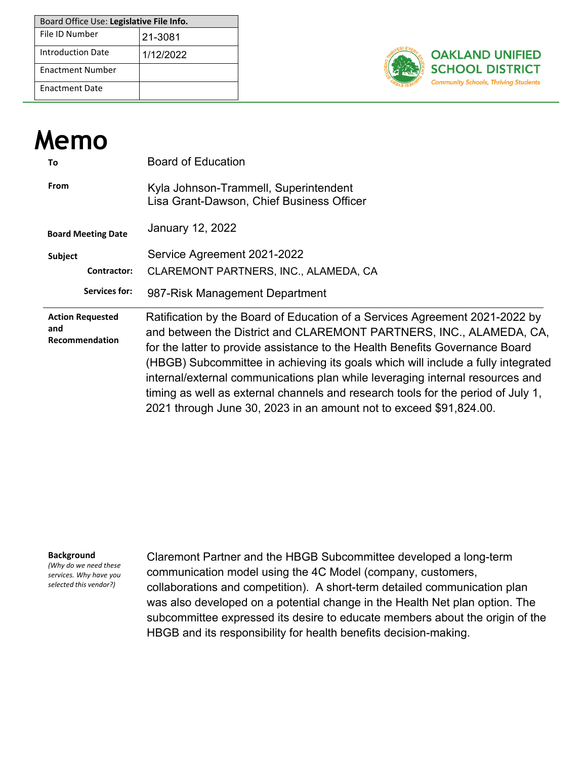| Board Office Use: Legislative File Info. |           |  |  |
|------------------------------------------|-----------|--|--|
| File ID Number                           | 21-3081   |  |  |
| Introduction Date                        | 1/12/2022 |  |  |
| <b>Enactment Number</b>                  |           |  |  |
| <b>Fnactment Date</b>                    |           |  |  |



| <b>Memo</b>                                      |                                                                                                                                                                                                                                                                                                                                                                                                                                                                                                                                                                                                                                                                                                                  |
|--------------------------------------------------|------------------------------------------------------------------------------------------------------------------------------------------------------------------------------------------------------------------------------------------------------------------------------------------------------------------------------------------------------------------------------------------------------------------------------------------------------------------------------------------------------------------------------------------------------------------------------------------------------------------------------------------------------------------------------------------------------------------|
| To                                               | <b>Board of Education</b>                                                                                                                                                                                                                                                                                                                                                                                                                                                                                                                                                                                                                                                                                        |
| From                                             | Kyla Johnson-Trammell, Superintendent<br>Lisa Grant-Dawson, Chief Business Officer                                                                                                                                                                                                                                                                                                                                                                                                                                                                                                                                                                                                                               |
| <b>Board Meeting Date</b>                        | January 12, 2022                                                                                                                                                                                                                                                                                                                                                                                                                                                                                                                                                                                                                                                                                                 |
| Subject                                          | Service Agreement 2021-2022                                                                                                                                                                                                                                                                                                                                                                                                                                                                                                                                                                                                                                                                                      |
| Contractor:                                      | CLAREMONT PARTNERS, INC., ALAMEDA, CA                                                                                                                                                                                                                                                                                                                                                                                                                                                                                                                                                                                                                                                                            |
| Services for:                                    | 987-Risk Management Department                                                                                                                                                                                                                                                                                                                                                                                                                                                                                                                                                                                                                                                                                   |
| <b>Action Requested</b><br>and<br>Recommendation | Ratification by the Board of Education of a Services Agreement 2021-2022 by<br>and between the District and CLAREMONT PARTNERS, INC., ALAMEDA, CA,<br>for the latter to provide assistance to the Health Benefits Governance Board<br>(HBGB) Subcommittee in achieving its goals which will include HOLLOWKDW<br><b>BHHWLOPLXWHDHGDIWHGLQHWDLODQKDHGZWKWDNHKROGHV</b><br>SBMGHXSSRWZWK#DOWKHQILWFRPPXQFDWLRQDPSDLJQXHQVO\<br>a fully integrated internal/external communications plan<br><b>XGHDDGFHDWH</b><br>while leveraging internal resources and timing as well as external channels and<br>research tools for the period of July 1, 2021 through June 30, 2023 in an<br>amount not to exceed \$91,824.00. |

#### **Background**

*(Why do we need these services. Why have you selected this vendor?)*

Claremont PartnerVand the HBGB Subcommittee developed a long-term communication model using the 4C Model (company, customers, collaborations and competition). A short-term detailed communication plan was also developed on a potential change in the Health Net plan option. The subcommittee expressed its desire to educate members about the origin of the HBGB and its responsibility for health benefits decision-making.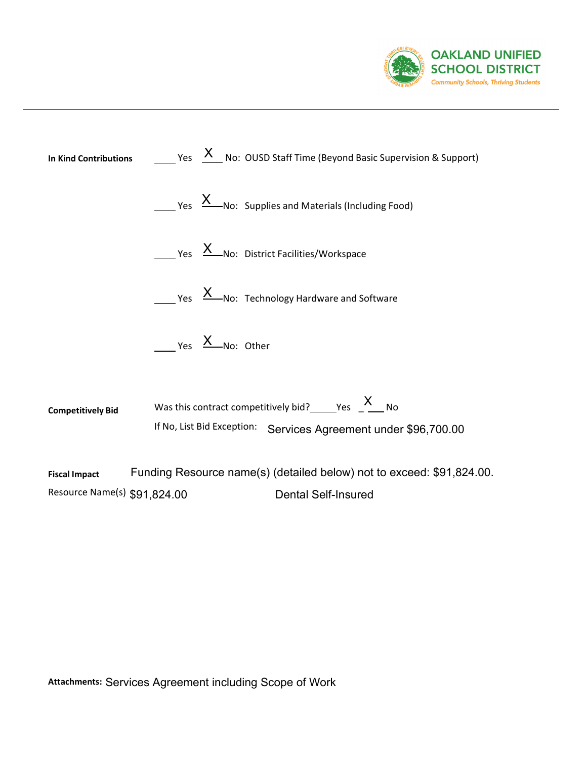



**Attachments:** Services Agreement including Scope of Work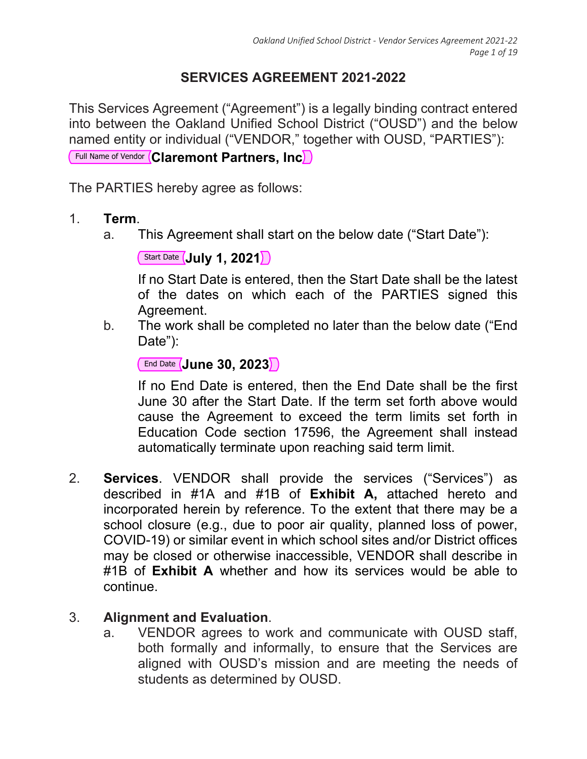# **SERVICES AGREEMENT 2021-2022**

This Services Agreement ("Agreement") is a legally binding contract entered into between the Oakland Unified School District ("OUSD") and the below named entity or individual ("VENDOR," together with OUSD, "PARTIES"):

Full Name of Vendor **Claremont Partners, Inc**

The PARTIES hereby agree as follows:

- 1. **Term**.
	- a. This Agreement shall start on the below date ("Start Date"):

Start Date **July 1, 2021**

If no Start Date is entered, then the Start Date shall be the latest of the dates on which each of the PARTIES signed this Agreement.

b. The work shall be completed no later than the below date ("End Date"):

```
End Date June 30, 2023
```
If no End Date is entered, then the End Date shall be the first June 30 after the Start Date. If the term set forth above would cause the Agreement to exceed the term limits set forth in Education Code section 17596, the Agreement shall instead automatically terminate upon reaching said term limit.

2. **Services**. VENDOR shall provide the services ("Services") as described in #1A and #1B of **Exhibit A,** attached hereto and incorporated herein by reference. To the extent that there may be a school closure (e.g., due to poor air quality, planned loss of power, COVID-19) or similar event in which school sites and/or District offices may be closed or otherwise inaccessible, VENDOR shall describe in #1B of **Exhibit A** whether and how its services would be able to continue.

### 3. **Alignment and Evaluation**.

a. VENDOR agrees to work and communicate with OUSD staff, both formally and informally, to ensure that the Services are aligned with OUSD's mission and are meeting the needs of students as determined by OUSD.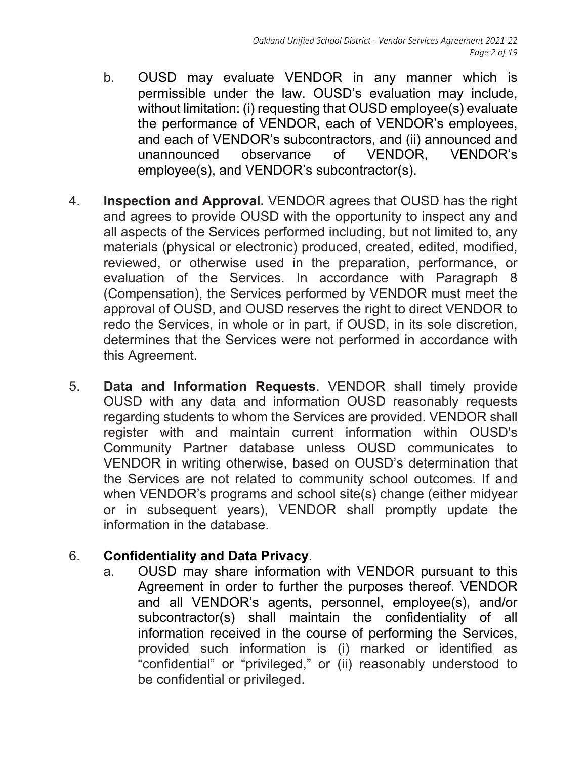- b. OUSD may evaluate VENDOR in any manner which is permissible under the law. OUSD's evaluation may include, without limitation: (i) requesting that OUSD employee(s) evaluate the performance of VENDOR, each of VENDOR's employees, and each of VENDOR's subcontractors, and (ii) announced and unannounced observance of VENDOR, VENDOR's employee(s), and VENDOR's subcontractor(s).
- 4. **Inspection and Approval.** VENDOR agrees that OUSD has the right and agrees to provide OUSD with the opportunity to inspect any and all aspects of the Services performed including, but not limited to, any materials (physical or electronic) produced, created, edited, modified, reviewed, or otherwise used in the preparation, performance, or evaluation of the Services. In accordance with Paragraph 8 (Compensation), the Services performed by VENDOR must meet the approval of OUSD, and OUSD reserves the right to direct VENDOR to redo the Services, in whole or in part, if OUSD, in its sole discretion, determines that the Services were not performed in accordance with this Agreement.
- 5. **Data and Information Requests**. VENDOR shall timely provide OUSD with any data and information OUSD reasonably requests regarding students to whom the Services are provided. VENDOR shall register with and maintain current information within OUSD's Community Partner database unless OUSD communicates to VENDOR in writing otherwise, based on OUSD's determination that the Services are not related to community school outcomes. If and when VENDOR's programs and school site(s) change (either midyear or in subsequent years), VENDOR shall promptly update the information in the database.

# 6. **Confidentiality and Data Privacy**.

a. OUSD may share information with VENDOR pursuant to this Agreement in order to further the purposes thereof. VENDOR and all VENDOR's agents, personnel, employee(s), and/or subcontractor(s) shall maintain the confidentiality of all information received in the course of performing the Services, provided such information is (i) marked or identified as "confidential" or "privileged," or (ii) reasonably understood to be confidential or privileged.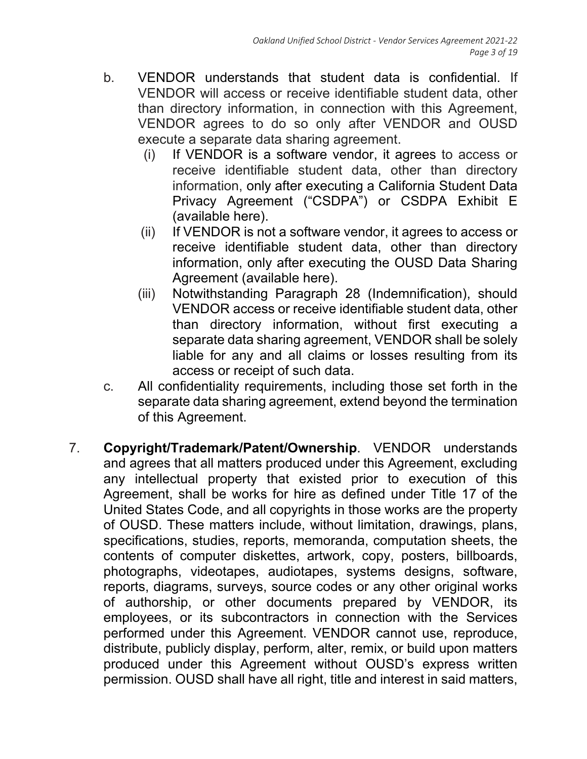- b. VENDOR understands that student data is confidential. If VENDOR will access or receive identifiable student data, other than directory information, in connection with this Agreement, VENDOR agrees to do so only after VENDOR and OUSD execute a separate data sharing agreement.
	- (i) If VENDOR is a software vendor, it agrees to access or receive identifiable student data, other than directory information, only after executing a California Student Data Privacy Agreement ("CSDPA") or CSDPA Exhibit E (available here).
	- (ii) If VENDOR is not a software vendor, it agrees to access or receive identifiable student data, other than directory information, only after executing the OUSD Data Sharing Agreement (available here).
	- (iii) Notwithstanding Paragraph 28 (Indemnification), should VENDOR access or receive identifiable student data, other than directory information, without first executing a separate data sharing agreement, VENDOR shall be solely liable for any and all claims or losses resulting from its access or receipt of such data.
- c. All confidentiality requirements, including those set forth in the separate data sharing agreement, extend beyond the termination of this Agreement.
- 7. **Copyright/Trademark/Patent/Ownership**. VENDOR understands and agrees that all matters produced under this Agreement, excluding any intellectual property that existed prior to execution of this Agreement, shall be works for hire as defined under Title 17 of the United States Code, and all copyrights in those works are the property of OUSD. These matters include, without limitation, drawings, plans, specifications, studies, reports, memoranda, computation sheets, the contents of computer diskettes, artwork, copy, posters, billboards, photographs, videotapes, audiotapes, systems designs, software, reports, diagrams, surveys, source codes or any other original works of authorship, or other documents prepared by VENDOR, its employees, or its subcontractors in connection with the Services performed under this Agreement. VENDOR cannot use, reproduce, distribute, publicly display, perform, alter, remix, or build upon matters produced under this Agreement without OUSD's express written permission. OUSD shall have all right, title and interest in said matters,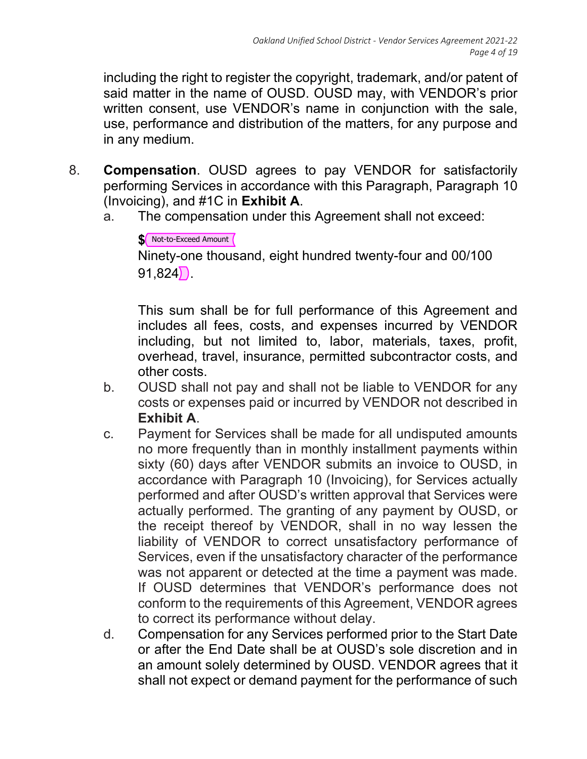including the right to register the copyright, trademark, and/or patent of said matter in the name of OUSD. OUSD may, with VENDOR's prior written consent, use VENDOR's name in conjunction with the sale, use, performance and distribution of the matters, for any purpose and in any medium.

- 8. **Compensation**. OUSD agrees to pay VENDOR for satisfactorily performing Services in accordance with this Paragraph, Paragraph 10 (Invoicing), and #1C in **Exhibit A**.
	- a. The compensation under this Agreement shall not exceed:

```
$ Not-to-Exceed Amount
Ninety-one thousand, eight hundred twenty-four and 00/100 
91,824.
```
This sum shall be for full performance of this Agreement and includes all fees, costs, and expenses incurred by VENDOR including, but not limited to, labor, materials, taxes, profit, overhead, travel, insurance, permitted subcontractor costs, and other costs.

- b. OUSD shall not pay and shall not be liable to VENDOR for any costs or expenses paid or incurred by VENDOR not described in **Exhibit A**.
- c. Payment for Services shall be made for all undisputed amounts no more frequently than in monthly installment payments within sixty (60) days after VENDOR submits an invoice to OUSD, in accordance with Paragraph 10 (Invoicing), for Services actually performed and after OUSD's written approval that Services were actually performed. The granting of any payment by OUSD, or the receipt thereof by VENDOR, shall in no way lessen the liability of VENDOR to correct unsatisfactory performance of Services, even if the unsatisfactory character of the performance was not apparent or detected at the time a payment was made. If OUSD determines that VENDOR's performance does not conform to the requirements of this Agreement, VENDOR agrees to correct its performance without delay.
- d. Compensation for any Services performed prior to the Start Date or after the End Date shall be at OUSD's sole discretion and in an amount solely determined by OUSD. VENDOR agrees that it shall not expect or demand payment for the performance of such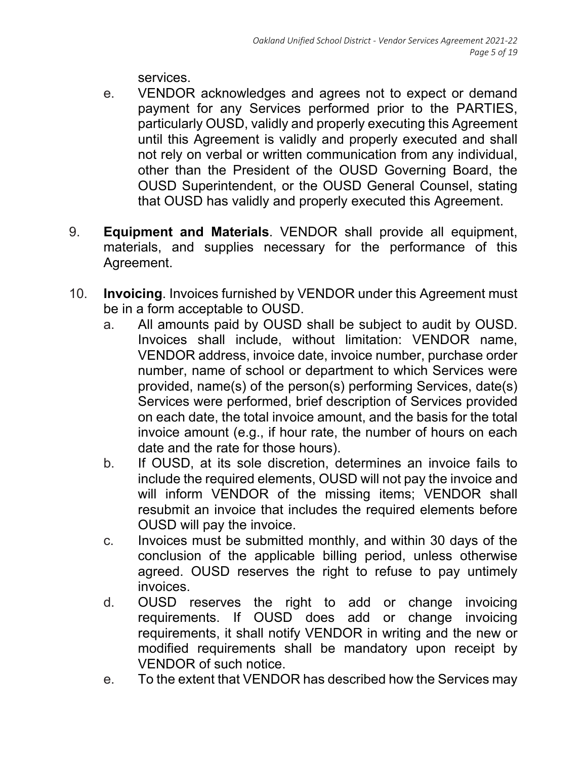services.

- e. VENDOR acknowledges and agrees not to expect or demand payment for any Services performed prior to the PARTIES, particularly OUSD, validly and properly executing this Agreement until this Agreement is validly and properly executed and shall not rely on verbal or written communication from any individual, other than the President of the OUSD Governing Board, the OUSD Superintendent, or the OUSD General Counsel, stating that OUSD has validly and properly executed this Agreement.
- 9. **Equipment and Materials**. VENDOR shall provide all equipment, materials, and supplies necessary for the performance of this Agreement.
- 10. **Invoicing**. Invoices furnished by VENDOR under this Agreement must be in a form acceptable to OUSD.
	- a. All amounts paid by OUSD shall be subject to audit by OUSD. Invoices shall include, without limitation: VENDOR name, VENDOR address, invoice date, invoice number, purchase order number, name of school or department to which Services were provided, name(s) of the person(s) performing Services, date(s) Services were performed, brief description of Services provided on each date, the total invoice amount, and the basis for the total invoice amount (e.g., if hour rate, the number of hours on each date and the rate for those hours).
	- b. If OUSD, at its sole discretion, determines an invoice fails to include the required elements, OUSD will not pay the invoice and will inform VENDOR of the missing items; VENDOR shall resubmit an invoice that includes the required elements before OUSD will pay the invoice.
	- c. Invoices must be submitted monthly, and within 30 days of the conclusion of the applicable billing period, unless otherwise agreed. OUSD reserves the right to refuse to pay untimely invoices.
	- d. OUSD reserves the right to add or change invoicing requirements. If OUSD does add or change invoicing requirements, it shall notify VENDOR in writing and the new or modified requirements shall be mandatory upon receipt by VENDOR of such notice.
	- e. To the extent that VENDOR has described how the Services may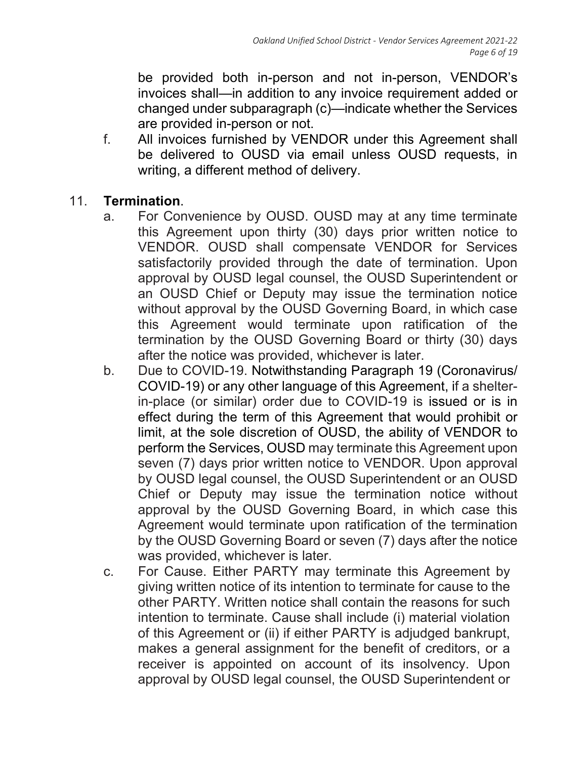be provided both in-person and not in-person, VENDOR's invoices shall—in addition to any invoice requirement added or changed under subparagraph (c)—indicate whether the Services are provided in-person or not.

- f. All invoices furnished by VENDOR under this Agreement shall be delivered to OUSD via email unless OUSD requests, in writing, a different method of delivery.
- 11. **Termination**.
	- a. For Convenience by OUSD. OUSD may at any time terminate this Agreement upon thirty (30) days prior written notice to VENDOR. OUSD shall compensate VENDOR for Services satisfactorily provided through the date of termination. Upon approval by OUSD legal counsel, the OUSD Superintendent or an OUSD Chief or Deputy may issue the termination notice without approval by the OUSD Governing Board, in which case this Agreement would terminate upon ratification of the termination by the OUSD Governing Board or thirty (30) days after the notice was provided, whichever is later.
	- b. Due to COVID-19. Notwithstanding Paragraph 19 (Coronavirus/ COVID-19) or any other language of this Agreement, if a shelterin-place (or similar) order due to COVID-19 is issued or is in effect during the term of this Agreement that would prohibit or limit, at the sole discretion of OUSD, the ability of VENDOR to perform the Services, OUSD may terminate this Agreement upon seven (7) days prior written notice to VENDOR. Upon approval by OUSD legal counsel, the OUSD Superintendent or an OUSD Chief or Deputy may issue the termination notice without approval by the OUSD Governing Board, in which case this Agreement would terminate upon ratification of the termination by the OUSD Governing Board or seven (7) days after the notice was provided, whichever is later.
	- c. For Cause. Either PARTY may terminate this Agreement by giving written notice of its intention to terminate for cause to the other PARTY. Written notice shall contain the reasons for such intention to terminate. Cause shall include (i) material violation of this Agreement or (ii) if either PARTY is adjudged bankrupt, makes a general assignment for the benefit of creditors, or a receiver is appointed on account of its insolvency. Upon approval by OUSD legal counsel, the OUSD Superintendent or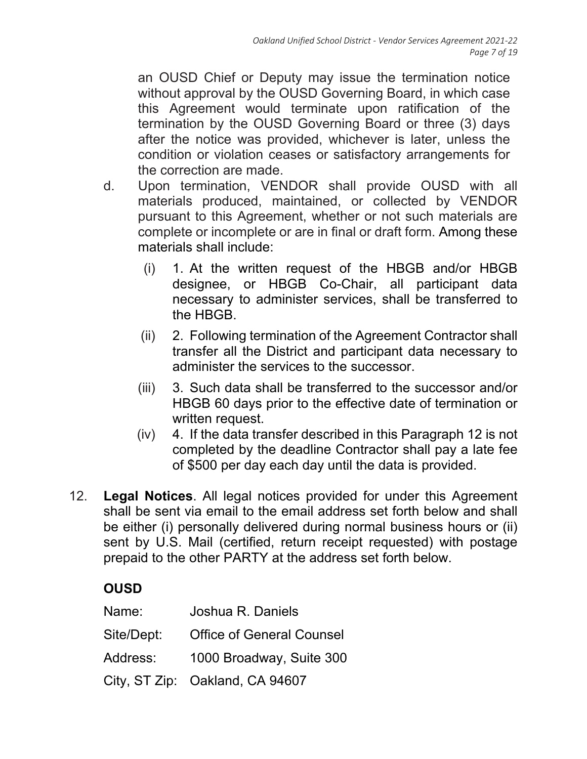an OUSD Chief or Deputy may issue the termination notice without approval by the OUSD Governing Board, in which case this Agreement would terminate upon ratification of the termination by the OUSD Governing Board or three (3) days after the notice was provided, whichever is later, unless the condition or violation ceases or satisfactory arrangements for the correction are made.

- d. Upon termination, VENDOR shall provide OUSD with all materials produced, maintained, or collected by VENDOR pursuant to this Agreement, whether or not such materials are complete or incomplete or are in final or draft form. Among these materials shall include:
	- (i) 1. At the written request of the HBGB and/or HBGB designee, or HBGB Co-Chair, all participant data necessary to administer services, shall be transferred to the HBGB.
	- (ii) 2. Following termination of the Agreement Contractor shall transfer all the District and participant data necessary to administer the services to the successor.
	- (iii) 3. Such data shall be transferred to the successor and/or HBGB 60 days prior to the effective date of termination or written request.
	- (iv) 4. If the data transfer described in this Paragraph 12 is not completed by the deadline Contractor shall pay a late fee of \$500 per day each day until the data is provided.
- 12. **Legal Notices**. All legal notices provided for under this Agreement shall be sent via email to the email address set forth below and shall be either (i) personally delivered during normal business hours or (ii) sent by U.S. Mail (certified, return receipt requested) with postage prepaid to the other PARTY at the address set forth below.

# **OUSD**

| Name:      | Joshua R. Daniels                |
|------------|----------------------------------|
| Site/Dept: | <b>Office of General Counsel</b> |
| Address:   | 1000 Broadway, Suite 300         |
|            | City, ST Zip: Oakland, CA 94607  |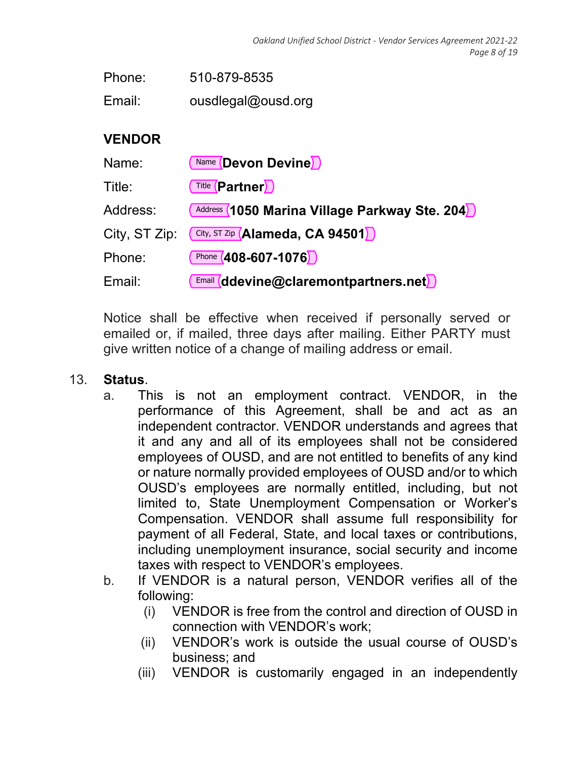Email: ousdlegal@ousd.org

### **VENDOR**

| Name:         | Name <b>Devon Devine</b>                                               |
|---------------|------------------------------------------------------------------------|
| Title:        | <b>Title (Partner)</b>                                                 |
| Address:      | Address (1050 Marina Village Parkway Ste. 204)                         |
| City, ST Zip: | City, ST Zip (Alameda, CA 94501)                                       |
| Phone:        | Phone $(408 - 607 - 1076)$                                             |
| Email:        | $\frac{[Email]}{[H]}\left(\text{ddevine@claremontpartners.net}\right)$ |

Notice shall be effective when received if personally served or emailed or, if mailed, three days after mailing. Either PARTY must give written notice of a change of mailing address or email.

#### 13. **Status**.

- a. This is not an employment contract. VENDOR, in the performance of this Agreement, shall be and act as an independent contractor. VENDOR understands and agrees that it and any and all of its employees shall not be considered employees of OUSD, and are not entitled to benefits of any kind or nature normally provided employees of OUSD and/or to which OUSD's employees are normally entitled, including, but not limited to, State Unemployment Compensation or Worker's Compensation. VENDOR shall assume full responsibility for payment of all Federal, State, and local taxes or contributions, including unemployment insurance, social security and income taxes with respect to VENDOR's employees.
- b. If VENDOR is a natural person, VENDOR verifies all of the following:
	- (i) VENDOR is free from the control and direction of OUSD in connection with VENDOR's work;
	- (ii) VENDOR's work is outside the usual course of OUSD's business; and
	- (iii) VENDOR is customarily engaged in an independently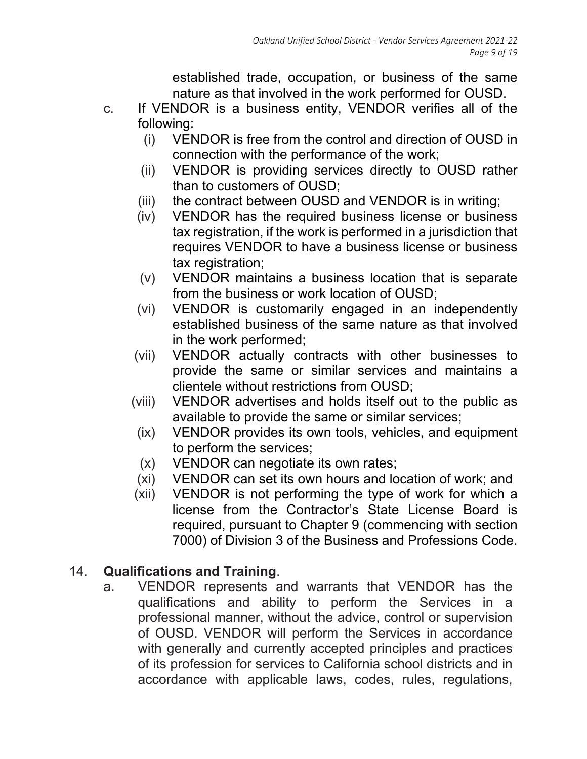established trade, occupation, or business of the same nature as that involved in the work performed for OUSD.

- c. If VENDOR is a business entity, VENDOR verifies all of the following:
	- (i) VENDOR is free from the control and direction of OUSD in connection with the performance of the work;
	- (ii) VENDOR is providing services directly to OUSD rather than to customers of OUSD;
	- (iii) the contract between OUSD and VENDOR is in writing;
	- (iv) VENDOR has the required business license or business tax registration, if the work is performed in a jurisdiction that requires VENDOR to have a business license or business tax registration;
	- (v) VENDOR maintains a business location that is separate from the business or work location of OUSD;
	- (vi) VENDOR is customarily engaged in an independently established business of the same nature as that involved in the work performed;
	- (vii) VENDOR actually contracts with other businesses to provide the same or similar services and maintains a clientele without restrictions from OUSD;
	- (viii) VENDOR advertises and holds itself out to the public as available to provide the same or similar services;
	- (ix) VENDOR provides its own tools, vehicles, and equipment to perform the services;
	- (x) VENDOR can negotiate its own rates;
	- (xi) VENDOR can set its own hours and location of work; and
	- (xii) VENDOR is not performing the type of work for which a license from the Contractor's State License Board is required, pursuant to Chapter 9 (commencing with section 7000) of Division 3 of the Business and Professions Code.

# 14. **Qualifications and Training**.

a. VENDOR represents and warrants that VENDOR has the qualifications and ability to perform the Services in a professional manner, without the advice, control or supervision of OUSD. VENDOR will perform the Services in accordance with generally and currently accepted principles and practices of its profession for services to California school districts and in accordance with applicable laws, codes, rules, regulations,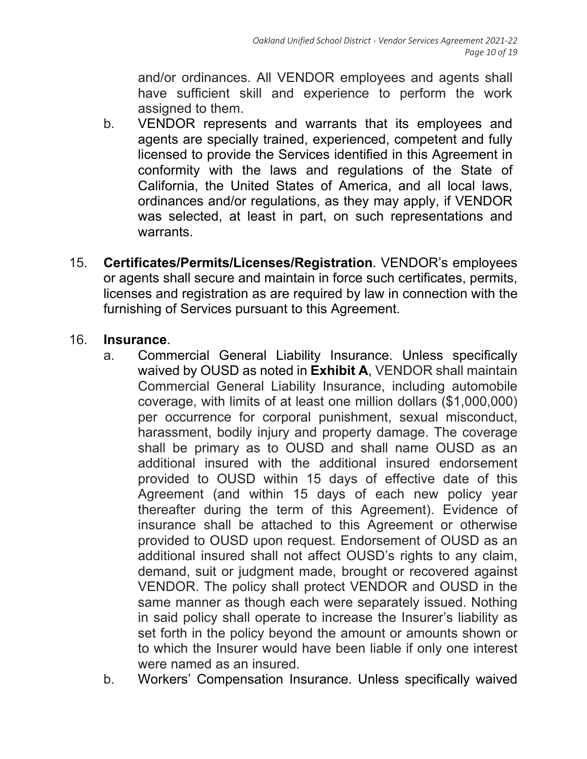and/or ordinances. All VENDOR employees and agents shall have sufficient skill and experience to perform the work assigned to them.

- b. VENDOR represents and warrants that its employees and agents are specially trained, experienced, competent and fully licensed to provide the Services identified in this Agreement in conformity with the laws and regulations of the State of California, the United States of America, and all local laws, ordinances and/or regulations, as they may apply, if VENDOR was selected, at least in part, on such representations and warrants.
- 15. **Certificates/Permits/Licenses/Registration**. VENDOR's employees or agents shall secure and maintain in force such certificates, permits, licenses and registration as are required by law in connection with the furnishing of Services pursuant to this Agreement.

### 16. **Insurance**.

- a. Commercial General Liability Insurance. Unless specifically waived by OUSD as noted in **Exhibit A**, VENDOR shall maintain Commercial General Liability Insurance, including automobile coverage, with limits of at least one million dollars (\$1,000,000) per occurrence for corporal punishment, sexual misconduct, harassment, bodily injury and property damage. The coverage shall be primary as to OUSD and shall name OUSD as an additional insured with the additional insured endorsement provided to OUSD within 15 days of effective date of this Agreement (and within 15 days of each new policy year thereafter during the term of this Agreement). Evidence of insurance shall be attached to this Agreement or otherwise provided to OUSD upon request. Endorsement of OUSD as an additional insured shall not affect OUSD's rights to any claim, demand, suit or judgment made, brought or recovered against VENDOR. The policy shall protect VENDOR and OUSD in the same manner as though each were separately issued. Nothing in said policy shall operate to increase the Insurer's liability as set forth in the policy beyond the amount or amounts shown or to which the Insurer would have been liable if only one interest were named as an insured.
- b. Workers' Compensation Insurance. Unless specifically waived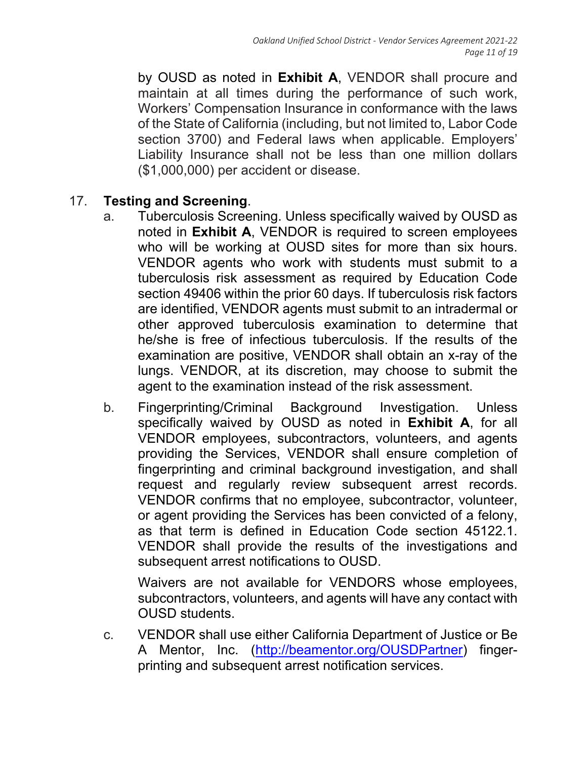by OUSD as noted in **Exhibit A**, VENDOR shall procure and maintain at all times during the performance of such work, Workers' Compensation Insurance in conformance with the laws of the State of California (including, but not limited to, Labor Code section 3700) and Federal laws when applicable. Employers' Liability Insurance shall not be less than one million dollars (\$1,000,000) per accident or disease.

#### 17. **Testing and Screening**.

- a. Tuberculosis Screening. Unless specifically waived by OUSD as noted in **Exhibit A**, VENDOR is required to screen employees who will be working at OUSD sites for more than six hours. VENDOR agents who work with students must submit to a tuberculosis risk assessment as required by Education Code section 49406 within the prior 60 days. If tuberculosis risk factors are identified, VENDOR agents must submit to an intradermal or other approved tuberculosis examination to determine that he/she is free of infectious tuberculosis. If the results of the examination are positive, VENDOR shall obtain an x-ray of the lungs. VENDOR, at its discretion, may choose to submit the agent to the examination instead of the risk assessment.
- b. Fingerprinting/Criminal Background Investigation. Unless specifically waived by OUSD as noted in **Exhibit A**, for all VENDOR employees, subcontractors, volunteers, and agents providing the Services, VENDOR shall ensure completion of fingerprinting and criminal background investigation, and shall request and regularly review subsequent arrest records. VENDOR confirms that no employee, subcontractor, volunteer, or agent providing the Services has been convicted of a felony, as that term is defined in Education Code section 45122.1. VENDOR shall provide the results of the investigations and subsequent arrest notifications to OUSD.

Waivers are not available for VENDORS whose employees, subcontractors, volunteers, and agents will have any contact with OUSD students.

c. VENDOR shall use either California Department of Justice or Be A Mentor, Inc. (http://beamentor.org/OUSDPartner) fingerprinting and subsequent arrest notification services.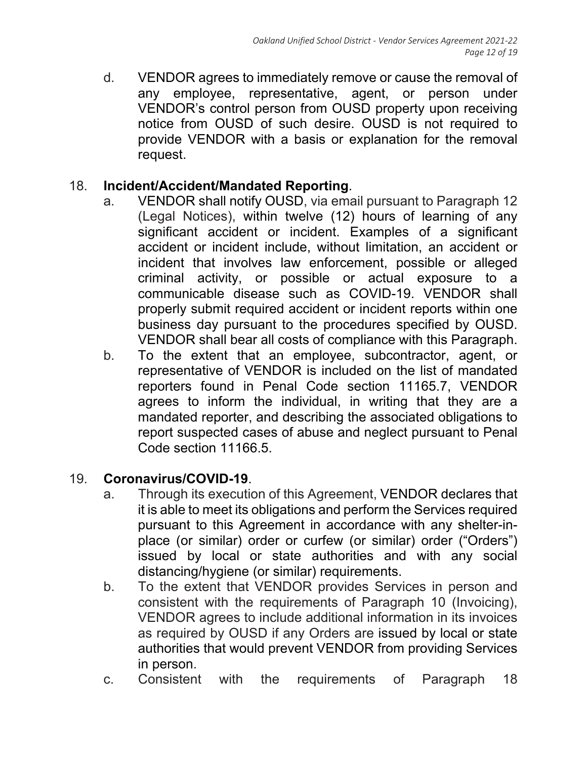d. VENDOR agrees to immediately remove or cause the removal of any employee, representative, agent, or person under VENDOR's control person from OUSD property upon receiving notice from OUSD of such desire. OUSD is not required to provide VENDOR with a basis or explanation for the removal request.

## 18. **Incident/Accident/Mandated Reporting**.

- a. VENDOR shall notify OUSD, via email pursuant to Paragraph 12 (Legal Notices), within twelve (12) hours of learning of any significant accident or incident. Examples of a significant accident or incident include, without limitation, an accident or incident that involves law enforcement, possible or alleged criminal activity, or possible or actual exposure to a communicable disease such as COVID-19. VENDOR shall properly submit required accident or incident reports within one business day pursuant to the procedures specified by OUSD. VENDOR shall bear all costs of compliance with this Paragraph.
- b. To the extent that an employee, subcontractor, agent, or representative of VENDOR is included on the list of mandated reporters found in Penal Code section 11165.7, VENDOR agrees to inform the individual, in writing that they are a mandated reporter, and describing the associated obligations to report suspected cases of abuse and neglect pursuant to Penal Code section 11166.5.

### 19. **Coronavirus/COVID-19**.

- a. Through its execution of this Agreement, VENDOR declares that it is able to meet its obligations and perform the Services required pursuant to this Agreement in accordance with any shelter-inplace (or similar) order or curfew (or similar) order ("Orders") issued by local or state authorities and with any social distancing/hygiene (or similar) requirements.
- b. To the extent that VENDOR provides Services in person and consistent with the requirements of Paragraph 10 (Invoicing), VENDOR agrees to include additional information in its invoices as required by OUSD if any Orders are issued by local or state authorities that would prevent VENDOR from providing Services in person.
- c. Consistent with the requirements of Paragraph 18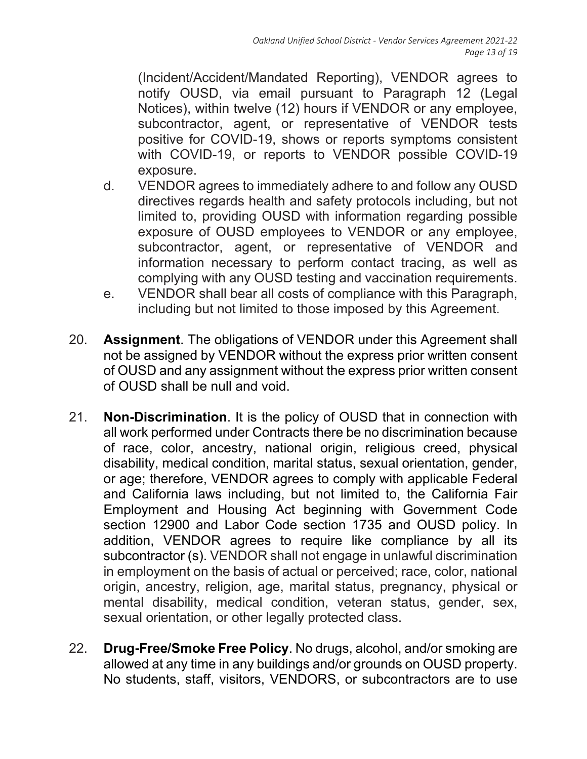(Incident/Accident/Mandated Reporting), VENDOR agrees to notify OUSD, via email pursuant to Paragraph 12 (Legal Notices), within twelve (12) hours if VENDOR or any employee, subcontractor, agent, or representative of VENDOR tests positive for COVID-19, shows or reports symptoms consistent with COVID-19, or reports to VENDOR possible COVID-19 exposure.

- d. VENDOR agrees to immediately adhere to and follow any OUSD directives regards health and safety protocols including, but not limited to, providing OUSD with information regarding possible exposure of OUSD employees to VENDOR or any employee, subcontractor, agent, or representative of VENDOR and information necessary to perform contact tracing, as well as complying with any OUSD testing and vaccination requirements.
- e. VENDOR shall bear all costs of compliance with this Paragraph, including but not limited to those imposed by this Agreement.
- 20. **Assignment**. The obligations of VENDOR under this Agreement shall not be assigned by VENDOR without the express prior written consent of OUSD and any assignment without the express prior written consent of OUSD shall be null and void.
- 21. **Non-Discrimination**. It is the policy of OUSD that in connection with all work performed under Contracts there be no discrimination because of race, color, ancestry, national origin, religious creed, physical disability, medical condition, marital status, sexual orientation, gender, or age; therefore, VENDOR agrees to comply with applicable Federal and California laws including, but not limited to, the California Fair Employment and Housing Act beginning with Government Code section 12900 and Labor Code section 1735 and OUSD policy. In addition, VENDOR agrees to require like compliance by all its subcontractor (s). VENDOR shall not engage in unlawful discrimination in employment on the basis of actual or perceived; race, color, national origin, ancestry, religion, age, marital status, pregnancy, physical or mental disability, medical condition, veteran status, gender, sex, sexual orientation, or other legally protected class.
- 22. **Drug-Free/Smoke Free Policy**. No drugs, alcohol, and/or smoking are allowed at any time in any buildings and/or grounds on OUSD property. No students, staff, visitors, VENDORS, or subcontractors are to use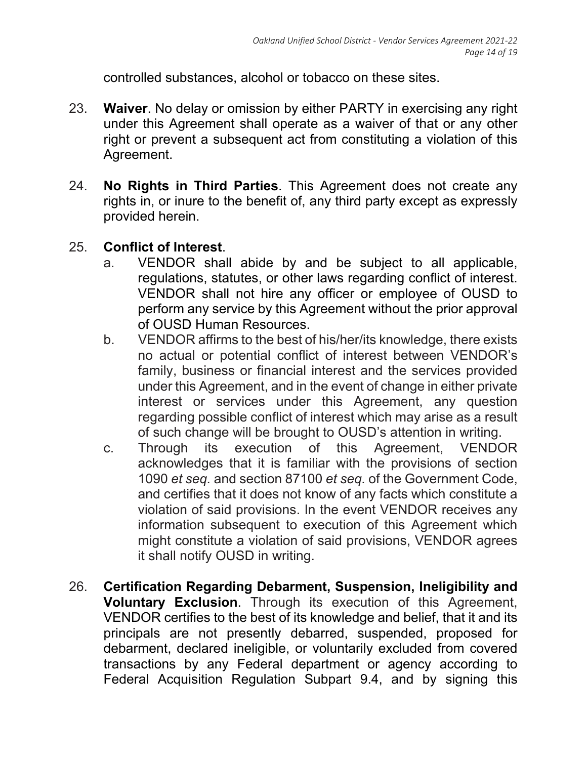controlled substances, alcohol or tobacco on these sites.

- 23. **Waiver**. No delay or omission by either PARTY in exercising any right under this Agreement shall operate as a waiver of that or any other right or prevent a subsequent act from constituting a violation of this Agreement.
- 24. **No Rights in Third Parties**. This Agreement does not create any rights in, or inure to the benefit of, any third party except as expressly provided herein.

# 25. **Conflict of Interest**.

- a. VENDOR shall abide by and be subject to all applicable, regulations, statutes, or other laws regarding conflict of interest. VENDOR shall not hire any officer or employee of OUSD to perform any service by this Agreement without the prior approval of OUSD Human Resources.
- b. VENDOR affirms to the best of his/her/its knowledge, there exists no actual or potential conflict of interest between VENDOR's family, business or financial interest and the services provided under this Agreement, and in the event of change in either private interest or services under this Agreement, any question regarding possible conflict of interest which may arise as a result of such change will be brought to OUSD's attention in writing.
- c. Through its execution of this Agreement, VENDOR acknowledges that it is familiar with the provisions of section 1090 *et seq.* and section 87100 *et seq.* of the Government Code, and certifies that it does not know of any facts which constitute a violation of said provisions. In the event VENDOR receives any information subsequent to execution of this Agreement which might constitute a violation of said provisions, VENDOR agrees it shall notify OUSD in writing.
- 26. **Certification Regarding Debarment, Suspension, Ineligibility and Voluntary Exclusion**. Through its execution of this Agreement, VENDOR certifies to the best of its knowledge and belief, that it and its principals are not presently debarred, suspended, proposed for debarment, declared ineligible, or voluntarily excluded from covered transactions by any Federal department or agency according to Federal Acquisition Regulation Subpart 9.4, and by signing this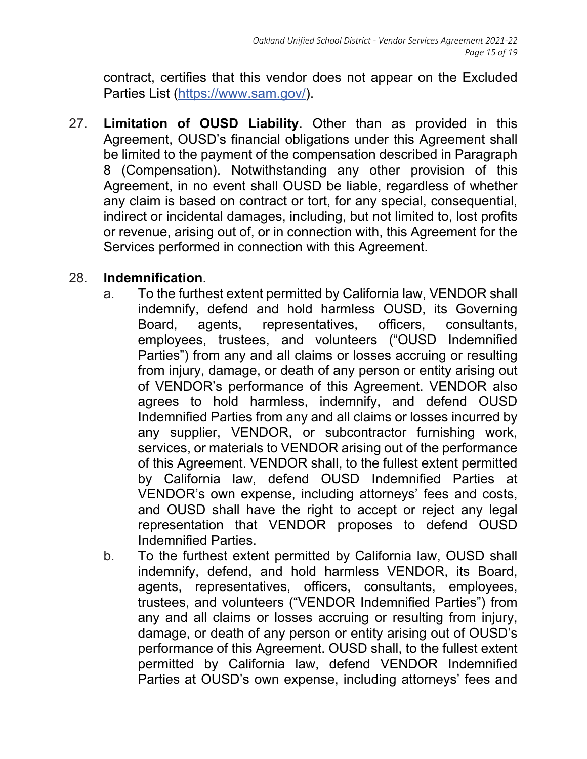contract, certifies that this vendor does not appear on the Excluded Parties List (https://www.sam.gov/).

27. **Limitation of OUSD Liability**. Other than as provided in this Agreement, OUSD's financial obligations under this Agreement shall be limited to the payment of the compensation described in Paragraph 8 (Compensation). Notwithstanding any other provision of this Agreement, in no event shall OUSD be liable, regardless of whether any claim is based on contract or tort, for any special, consequential, indirect or incidental damages, including, but not limited to, lost profits or revenue, arising out of, or in connection with, this Agreement for the Services performed in connection with this Agreement.

## 28. **Indemnification**.

- a. To the furthest extent permitted by California law, VENDOR shall indemnify, defend and hold harmless OUSD, its Governing Board, agents, representatives, officers, consultants, employees, trustees, and volunteers ("OUSD Indemnified Parties") from any and all claims or losses accruing or resulting from injury, damage, or death of any person or entity arising out of VENDOR's performance of this Agreement. VENDOR also agrees to hold harmless, indemnify, and defend OUSD Indemnified Parties from any and all claims or losses incurred by any supplier, VENDOR, or subcontractor furnishing work, services, or materials to VENDOR arising out of the performance of this Agreement. VENDOR shall, to the fullest extent permitted by California law, defend OUSD Indemnified Parties at VENDOR's own expense, including attorneys' fees and costs, and OUSD shall have the right to accept or reject any legal representation that VENDOR proposes to defend OUSD Indemnified Parties.
- b. To the furthest extent permitted by California law, OUSD shall indemnify, defend, and hold harmless VENDOR, its Board, agents, representatives, officers, consultants, employees, trustees, and volunteers ("VENDOR Indemnified Parties") from any and all claims or losses accruing or resulting from injury, damage, or death of any person or entity arising out of OUSD's performance of this Agreement. OUSD shall, to the fullest extent permitted by California law, defend VENDOR Indemnified Parties at OUSD's own expense, including attorneys' fees and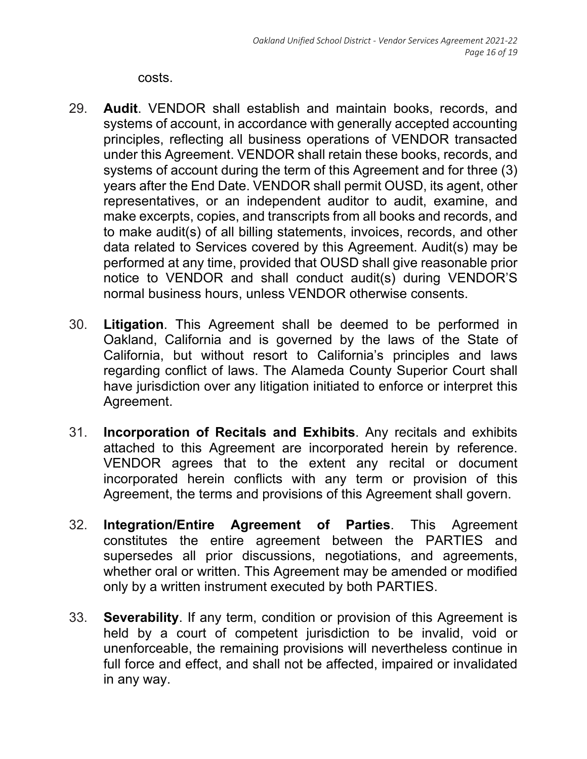costs.

- 29. **Audit**. VENDOR shall establish and maintain books, records, and systems of account, in accordance with generally accepted accounting principles, reflecting all business operations of VENDOR transacted under this Agreement. VENDOR shall retain these books, records, and systems of account during the term of this Agreement and for three (3) years after the End Date. VENDOR shall permit OUSD, its agent, other representatives, or an independent auditor to audit, examine, and make excerpts, copies, and transcripts from all books and records, and to make audit(s) of all billing statements, invoices, records, and other data related to Services covered by this Agreement. Audit(s) may be performed at any time, provided that OUSD shall give reasonable prior notice to VENDOR and shall conduct audit(s) during VENDOR'S normal business hours, unless VENDOR otherwise consents.
- 30. **Litigation**. This Agreement shall be deemed to be performed in Oakland, California and is governed by the laws of the State of California, but without resort to California's principles and laws regarding conflict of laws. The Alameda County Superior Court shall have jurisdiction over any litigation initiated to enforce or interpret this Agreement.
- 31. **Incorporation of Recitals and Exhibits**. Any recitals and exhibits attached to this Agreement are incorporated herein by reference. VENDOR agrees that to the extent any recital or document incorporated herein conflicts with any term or provision of this Agreement, the terms and provisions of this Agreement shall govern.
- 32. **Integration/Entire Agreement of Parties**. This Agreement constitutes the entire agreement between the PARTIES and supersedes all prior discussions, negotiations, and agreements, whether oral or written. This Agreement may be amended or modified only by a written instrument executed by both PARTIES.
- 33. **Severability**. If any term, condition or provision of this Agreement is held by a court of competent jurisdiction to be invalid, void or unenforceable, the remaining provisions will nevertheless continue in full force and effect, and shall not be affected, impaired or invalidated in any way.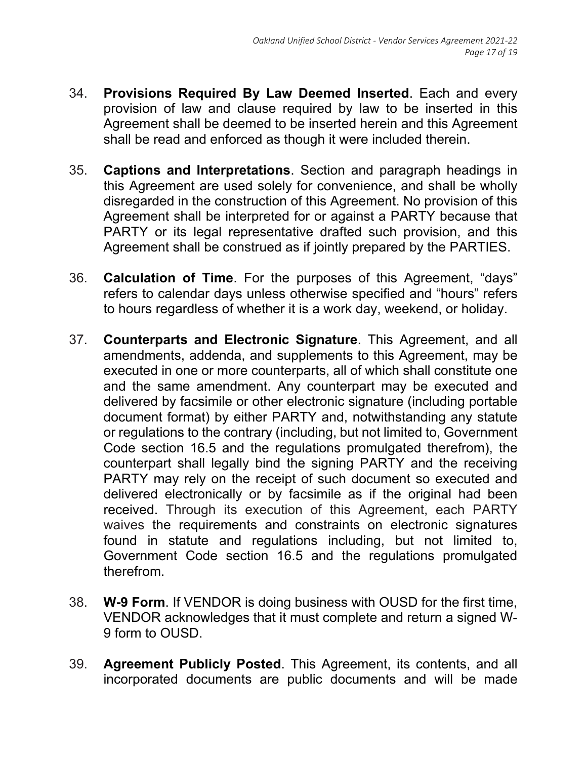- 34. **Provisions Required By Law Deemed Inserted**. Each and every provision of law and clause required by law to be inserted in this Agreement shall be deemed to be inserted herein and this Agreement shall be read and enforced as though it were included therein.
- 35. **Captions and Interpretations**. Section and paragraph headings in this Agreement are used solely for convenience, and shall be wholly disregarded in the construction of this Agreement. No provision of this Agreement shall be interpreted for or against a PARTY because that PARTY or its legal representative drafted such provision, and this Agreement shall be construed as if jointly prepared by the PARTIES.
- 36. **Calculation of Time**. For the purposes of this Agreement, "days" refers to calendar days unless otherwise specified and "hours" refers to hours regardless of whether it is a work day, weekend, or holiday.
- 37. **Counterparts and Electronic Signature**. This Agreement, and all amendments, addenda, and supplements to this Agreement, may be executed in one or more counterparts, all of which shall constitute one and the same amendment. Any counterpart may be executed and delivered by facsimile or other electronic signature (including portable document format) by either PARTY and, notwithstanding any statute or regulations to the contrary (including, but not limited to, Government Code section 16.5 and the regulations promulgated therefrom), the counterpart shall legally bind the signing PARTY and the receiving PARTY may rely on the receipt of such document so executed and delivered electronically or by facsimile as if the original had been received. Through its execution of this Agreement, each PARTY waives the requirements and constraints on electronic signatures found in statute and regulations including, but not limited to, Government Code section 16.5 and the regulations promulgated therefrom.
- 38. **W-9 Form**. If VENDOR is doing business with OUSD for the first time, VENDOR acknowledges that it must complete and return a signed W-9 form to OUSD.
- 39. **Agreement Publicly Posted**. This Agreement, its contents, and all incorporated documents are public documents and will be made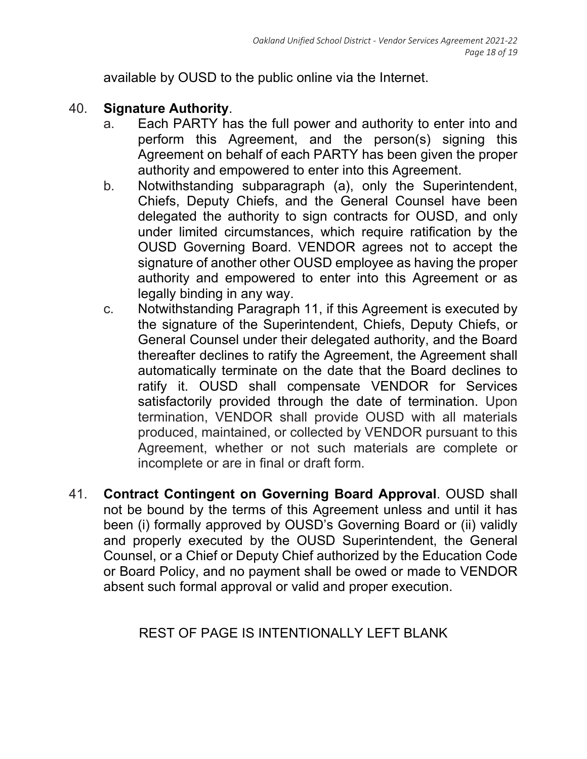available by OUSD to the public online via the Internet.

## 40. **Signature Authority**.

- a. Each PARTY has the full power and authority to enter into and perform this Agreement, and the person(s) signing this Agreement on behalf of each PARTY has been given the proper authority and empowered to enter into this Agreement.
- b. Notwithstanding subparagraph (a), only the Superintendent, Chiefs, Deputy Chiefs, and the General Counsel have been delegated the authority to sign contracts for OUSD, and only under limited circumstances, which require ratification by the OUSD Governing Board. VENDOR agrees not to accept the signature of another other OUSD employee as having the proper authority and empowered to enter into this Agreement or as legally binding in any way.
- c. Notwithstanding Paragraph 11, if this Agreement is executed by the signature of the Superintendent, Chiefs, Deputy Chiefs, or General Counsel under their delegated authority, and the Board thereafter declines to ratify the Agreement, the Agreement shall automatically terminate on the date that the Board declines to ratify it. OUSD shall compensate VENDOR for Services satisfactorily provided through the date of termination. Upon termination, VENDOR shall provide OUSD with all materials produced, maintained, or collected by VENDOR pursuant to this Agreement, whether or not such materials are complete or incomplete or are in final or draft form.
- 41. **Contract Contingent on Governing Board Approval**. OUSD shall not be bound by the terms of this Agreement unless and until it has been (i) formally approved by OUSD's Governing Board or (ii) validly and properly executed by the OUSD Superintendent, the General Counsel, or a Chief or Deputy Chief authorized by the Education Code or Board Policy, and no payment shall be owed or made to VENDOR absent such formal approval or valid and proper execution.

# REST OF PAGE IS INTENTIONALLY LEFT BLANK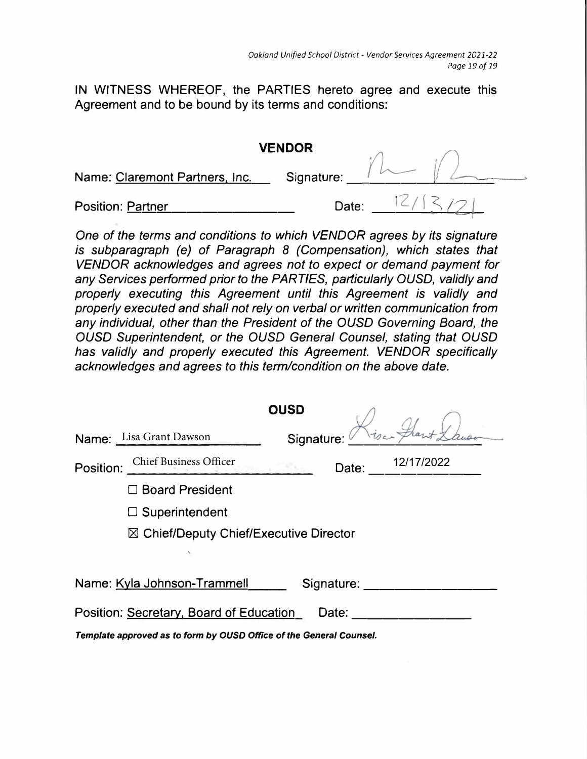IN WITNESS WHEREOF, the PARTIES hereto agree and execute this Agreement and to be bound by its terms and conditions:

|                                | <b>VENDOR</b> |  |
|--------------------------------|---------------|--|
| Name: Claremont Partners, Inc. | Signature:    |  |
| <b>Position: Partner</b>       | Date:         |  |

One of the terms and conditions to which VENDOR agrees by its signature is subparagraph (e) of Paragraph 8 (Compensation), which states that VENDOR acknowledges and agrees not to expect or demand payment for any Services performed prior to the PARTIES, particularly OUSD, validly and properly executing this Agreement until this Agreement is validly and properly executed and shall not rely on verbal or written communication from any individual, other than the President of the OUSD Governing Board, the OUSD Superintendent, or the OUSD General Counsel, stating that OUSD has validly and properly executed this Agreement. VENDOR specifically acknowledges and agrees to this term/condition on the above date.

| <b>OUSD</b>                                                         |
|---------------------------------------------------------------------|
| Name: Lisa Grant Dawson<br>Signature:                               |
| 12/17/2022<br>Position: Chief Business Officer<br>Date:             |
| $\Box$ Board President                                              |
| $\Box$ Superintendent                                               |
| $\boxtimes$ Chief/Deputy Chief/Executive Director                   |
|                                                                     |
| Name: Kyla Johnson-Trammell<br>Signature:                           |
| Position: Secretary, Board of Education<br>Date:                    |
| Template approved as to form by OUSD Office of the General Counsel. |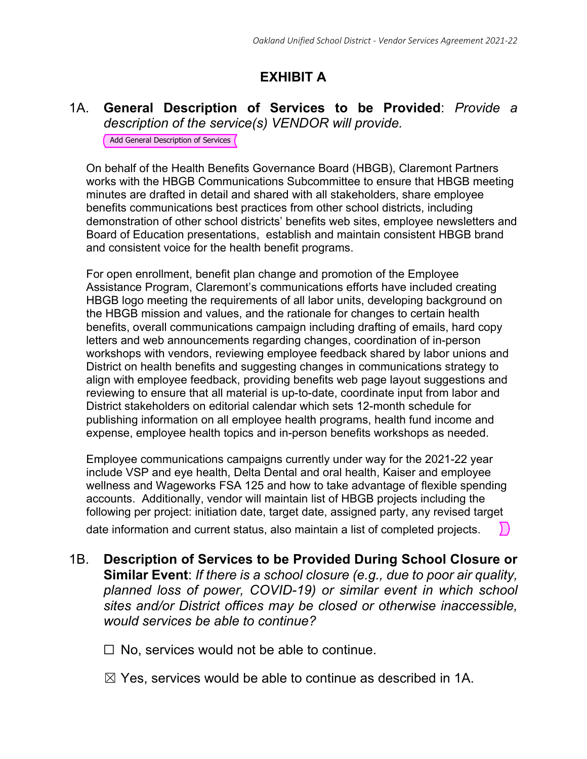# **EXHIBIT A**

#### 1A. **General Description of Services to be Provided**: *Provide a description of the service(s) VENDOR will provide.*

Add General Description of Services

On behalf of the Health Benefits Governance Board (HBGB), Claremont Partners works with the HBGB Communications Subcommittee to ensure that HBGB meeting minutes are drafted in detail and shared with all stakeholders, share employee benefits communications best practices from other school districts, including demonstration of other school districts' benefits web sites, employee newsletters and Board of Education presentations, establish and maintain consistent HBGB brand and consistent voice for the health benefit programs.

For open enrollment, benefit plan change and promotion of the Employee Assistance Program, Claremont's communications efforts have included creating HBGB logo meeting the requirements of all labor units, developing background on the HBGB mission and values, and the rationale for changes to certain health benefits, overall communications campaign including drafting of emails, hard copy letters and web announcements regarding changes, coordination of in-person workshops with vendors, reviewing employee feedback shared by labor unions and District on health benefits and suggesting changes in communications strategy to align with employee feedback, providing benefits web page layout suggestions and reviewing to ensure that all material is up-to-date, coordinate input from labor and District stakeholders on editorial calendar which sets 12-month schedule for publishing information on all employee health programs, health fund income and expense, employee health topics and in-person benefits workshops as needed.

Employee communications campaigns currently under way for the 2021-22 year include VSP and eye health, Delta Dental and oral health, Kaiser and employee wellness and Wageworks FSA 125 and how to take advantage of flexible spending accounts. Additionally, vendor will maintain list of HBGB projects including the following per project: initiation date, target date, assigned party, any revised target date information and current status, also maintain a list of completed projects.

1B. **Description of Services to be Provided During School Closure or Similar Event**: *If there is a school closure (e.g., due to poor air quality, planned loss of power, COVID-19) or similar event in which school sites and/or District offices may be closed or otherwise inaccessible, would services be able to continue?* 

 $\Box$  No, services would not be able to continue.

 $\boxtimes$  Yes, services would be able to continue as described in 1A.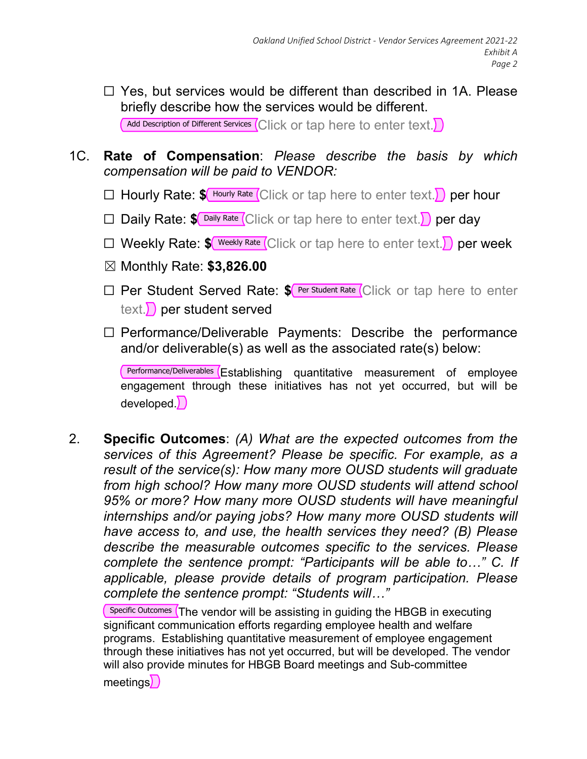- $\Box$  Yes, but services would be different than described in 1A. Please briefly describe how the services would be different. Add Description of Different Services (Click or tap here to enter text.)
- 1C. **Rate of Compensation**: *Please describe the basis by which compensation will be paid to VENDOR:*
	- □ Hourly Rate:  $\frac{\gamma_{\text{Hourly Rate}}}{\gamma_{\text{Hour}}}\left(\text{Click or tap here to enter text.}\right)$  per hour
	- □ Daily Rate:  $\frac{\gamma}{\sqrt{2}}$  Daily Rate (Click or tap here to enter text.) per day
	- □ Weekly Rate:  $\frac{1}{2}$  Weekly Rate Click or tap here to enter text. per week
	- ☒ Monthly Rate: **\$3,826.00**
	- □ Per Student Served Rate: **\$** Per Student Rate Click or tap here to enter text.  $\sum$  per student served
	- ☐ Performance/Deliverable Payments: Describe the performance and/or deliverable(s) as well as the associated rate(s) below:

Performance/Deliverables (Establishing quantitative measurement of employee engagement through these initiatives has not yet occurred, but will be developed.)

2. **Specific Outcomes**: *(A) What are the expected outcomes from the services of this Agreement? Please be specific. For example, as a result of the service(s): How many more OUSD students will graduate from high school? How many more OUSD students will attend school 95% or more? How many more OUSD students will have meaningful internships and/or paying jobs? How many more OUSD students will have access to, and use, the health services they need? (B) Please describe the measurable outcomes specific to the services. Please complete the sentence prompt: "Participants will be able to…" C. If applicable, please provide details of program participation. Please complete the sentence prompt: "Students will…"*

 $\overline{S}$  Specific Outcomes  $\overline{S}$  The vendor will be assisting in guiding the HBGB in executing significant communication efforts regarding employee health and welfare programs. Establishing quantitative measurement of employee engagement through these initiatives has not yet occurred, but will be developed. The vendor will also provide minutes for HBGB Board meetings and Sub-committee meetings))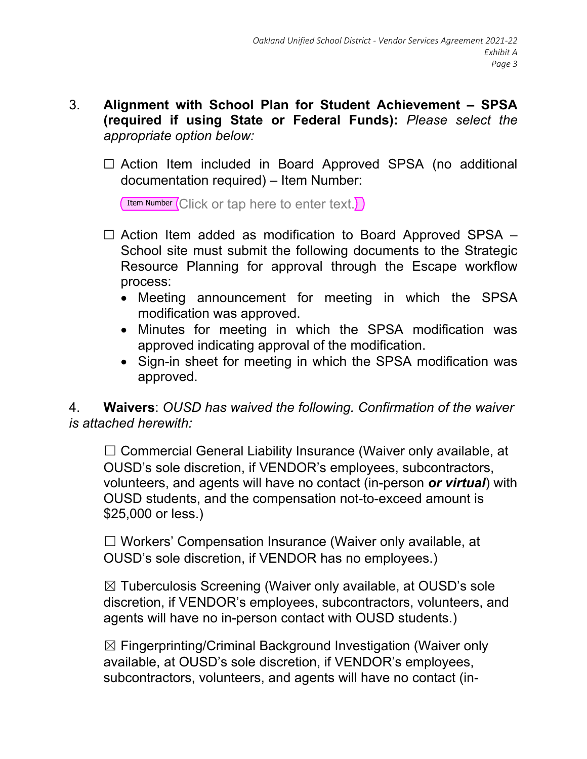### 3. **Alignment with School Plan for Student Achievement – SPSA (required if using State or Federal Funds):** *Please select the appropriate option below:*

□ Action Item included in Board Approved SPSA (no additional documentation required) – Item Number:

Item Number Click or tap here to enter text.

- $\Box$  Action Item added as modification to Board Approved SPSA  $-$ School site must submit the following documents to the Strategic Resource Planning for approval through the Escape workflow process:
	- Meeting announcement for meeting in which the SPSA modification was approved.
	- Minutes for meeting in which the SPSA modification was approved indicating approval of the modification.
	- Sign-in sheet for meeting in which the SPSA modification was approved.

4. **Waivers**: *OUSD has waived the following. Confirmation of the waiver is attached herewith:* 

□ Commercial General Liability Insurance (Waiver only available, at OUSD's sole discretion, if VENDOR's employees, subcontractors, volunteers, and agents will have no contact (in-person *or virtual*) with OUSD students, and the compensation not-to-exceed amount is \$25,000 or less.)

☐ Workers' Compensation Insurance (Waiver only available, at OUSD's sole discretion, if VENDOR has no employees.)

☒ Tuberculosis Screening (Waiver only available, at OUSD's sole discretion, if VENDOR's employees, subcontractors, volunteers, and agents will have no in-person contact with OUSD students.)

☒ Fingerprinting/Criminal Background Investigation (Waiver only available, at OUSD's sole discretion, if VENDOR's employees, subcontractors, volunteers, and agents will have no contact (in-